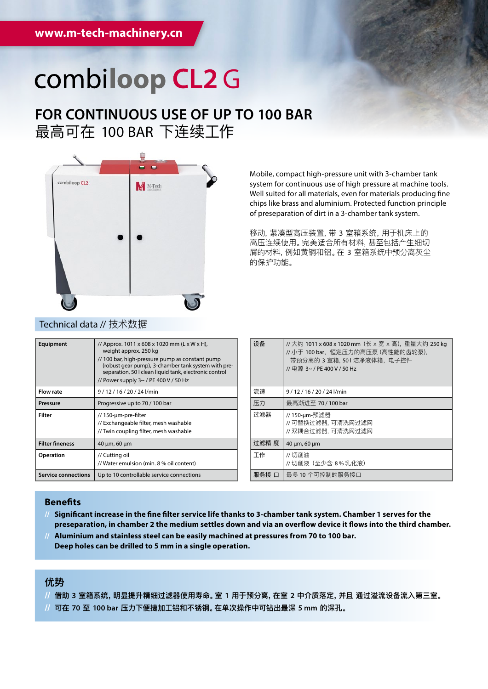## combiloop CL2 G

## **FOR CONTINUOUS USE OF UP TO 100 BAR** 最高可在 100 BAR 下连续工作



Mobile, compact high-pressure unit with 3-chamber tank system for continuous use of high pressure at machine tools. Well suited for all materials, even for materials producing fine chips like brass and aluminium. Protected function principle of preseparation of dirt in a 3-chamber tank system.

移动, 紧凑型高压装置,带 3 室箱系统,用于机床上的 高压连续使用。完美适合所有材料,甚至包括产生细切 屑的材料,例如黄铜和铝。在 3 室箱系统中预分离灰尘 的保护功能。

| Equipment                  | // Approx. 1011 x 608 x 1020 mm (L x W x H),<br>weight approx. 250 kg<br>// 100 bar, high-pressure pump as constant pump<br>(robust gear pump), 3-chamber tank system with pre-<br>separation, 50 I clean liquid tank, electronic control<br>// Power supply 3~ / PE 400 V / 50 Hz |
|----------------------------|------------------------------------------------------------------------------------------------------------------------------------------------------------------------------------------------------------------------------------------------------------------------------------|
| <b>Flow rate</b>           | 9/12/16/20/24l/min                                                                                                                                                                                                                                                                 |
| Pressure                   | Progressive up to 70 / 100 bar                                                                                                                                                                                                                                                     |
| Filter                     | // 150-µm-pre-filter<br>// Exchangeable filter, mesh washable<br>// Twin coupling filter, mesh washable                                                                                                                                                                            |
| <b>Filter fineness</b>     | 40 µm, 60 µm                                                                                                                                                                                                                                                                       |
| <b>Operation</b>           | // Cutting oil<br>// Water emulsion (min. 8 % oil content)                                                                                                                                                                                                                         |
| <b>Service connections</b> | Up to 10 controllable service connections                                                                                                                                                                                                                                          |

| 设备    | //大约 1011 x 608 x 1020 mm (长 x 宽 x 高), 重量大约 250 kg<br>// 小于 100 bar,恒定压力的高压泵 (高性能的齿轮泵),<br>带预分离的 3 室箱, 501 洁净液体箱, 电子控件<br>// 申源 3~ / PE 400 V / 50 Hz |
|-------|-------------------------------------------------------------------------------------------------------------------------------------------------------|
| 流速    | 9/12/16/20/24l/min                                                                                                                                    |
| 压力    | 最高渐进至 70 / 100 bar                                                                                                                                    |
| 讨滤器   | // 150-um-预滤器<br>//可替换过滤器,可清洗网过滤网<br>//双耦合过滤器,可清洗网过滤网                                                                                                 |
| 讨滤精 度 | 40 µm, 60 µm                                                                                                                                          |
| 丁作    | //切削油<br>// 切削液 (至少含 8%乳化液)                                                                                                                           |
| 服务接 口 | 最多 10 个可控制的服务接口                                                                                                                                       |

### **Benefits**

- **// Significant increase in the fine filter service life thanks to 3-chamber tank system. Chamber 1 serves for the preseparation, in chamber 2 the medium settles down and via an overflow device it flows into the third chamber.**
- **// Aluminium and stainless steel can be easily machined at pressures from 70 to 100 bar. Deep holes can be drilled to 5 mm in a single operation.**

## **优势**

- **// 借助 3 室箱系统,明显提升精细过滤器使用寿命。室 1 用于预分离,在室 2 中介质落定,并且 通过溢流设备流入第三室。**
- **// 可在 70 至 100 bar 压力下便捷加工铝和不锈钢。在单次操作中可钻出最深 5 mm 的深孔。**